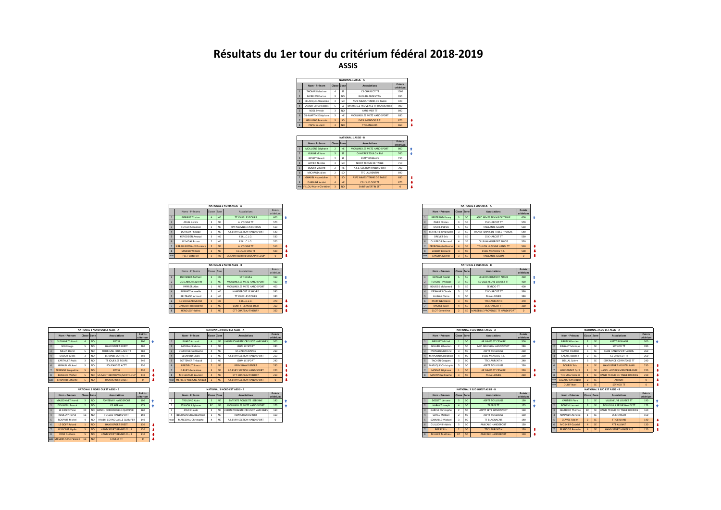## **Résultats du 1er tour du critérium fédéral 2018-2019 ASSIS**





|            |                          |             |                 | NATIONAL 2 NORD ASSIS - A     |                     |
|------------|--------------------------|-------------|-----------------|-------------------------------|---------------------|
|            | Noms - Prénoms           | Classe Zone |                 | Associations                  | Points<br>critérium |
|            | PIERROT Tristan          |             | NO              | <b>TT JOUE LES TOURS</b>      | 600                 |
|            | <b>ADJAL Yorick</b>      |             | NE              | A VOISINS TT                  | 570                 |
|            | <b>RUTLER Sébastien</b>  |             | NE              | PPN NEUVILLE EN FERRAIN       | 550                 |
|            | <b>DURIEUX Philippe</b>  |             | NE              | A S.EVRY SECTION HANDISPORT   | 540                 |
|            | <b>KERGOSIEN Arnaud</b>  |             | NO <sub>1</sub> | F.O.L.C.L.O.                  | 530                 |
|            | LE MOAL Bruno            |             | NO <sub>1</sub> | F.O.L.C.L.O.                  | 520                 |
|            | SIREAU GOSSIAUX Florence |             | <b>NE</b>       | A VOISINS TT                  | 510                 |
|            | <b>MANIER William</b>    |             | <b>NE</b>       | <b>CGL SUD OISE TT</b>        | 500                 |
| <b>WOR</b> | <b>PLET Victorien</b>    |             | <b>NO</b>       | US SAINT BERTHEVIN/SAINT LOUP |                     |

|                |                                     |             |                 | NATIONAL 2 NORD ASSIS - B   |                     |  |                         |             |               |           | NATIONAL 2 SUD ASSIS - B         |
|----------------|-------------------------------------|-------------|-----------------|-----------------------------|---------------------|--|-------------------------|-------------|---------------|-----------|----------------------------------|
|                | Noms - Prénoms                      | Classe Zone |                 | Associations                | Points<br>critérium |  | Nom - Prénom            | Classe Zone |               |           | Associations                     |
|                | <b>DEFRENEIX Samuel</b>             |             | NO              | <b>CTT DEOLS</b>            | 450                 |  | <b>BONNAT Pascal</b>    |             |               | <b>SE</b> | CLUB HANDISPORT AIXOIS           |
|                | <b>GOLLNISCH Laurent</b>            |             | <b>NE</b>       | MOULINS LES METZ HANDISPORT | 420                 |  | <b>TURCHET Philippe</b> |             | <b>SE</b>     |           | ES VILLENEUVE LOUBET TT          |
|                | PAPIRER Alan                        |             | NE              | MOULINS LES METZ HANDISPORT | 400                 |  | <b>BOUSSIS Mohamed</b>  |             | <b>SE</b>     |           | SEYNOD TT                        |
|                | <b>BONNOT Annaelle</b>              |             | NO <sub>1</sub> | HANDISPORT LE HAVRE         | 390                 |  | <b>DESHAYES Claude</b>  |             | SE            |           | CS CHARCOT TT                    |
|                | <b>BELTRAND Arnaud</b>              |             | NO <sub>1</sub> | TT JOUE LES TOURS           | 380                 |  | <b>LAUNAY Claire</b>    |             | <sub>SO</sub> |           | PANA-LOISIRS                     |
|                | 6 <sup>1</sup><br>LE BOULBAR Michel |             | I NO            | F.O.L.C.L.O.                | 370                 |  | <b>MARTINEZ Denis</b>   |             | <sub>SO</sub> |           | <b>TTC LAURENTIN</b>             |
| $\overline{7}$ | <b>DARVANT Bernadette</b>           |             | <b>NE</b>       | CSINI ST JEAN DE DIEU       | 360                 |  | MICHEL Alain            |             | <b>SE</b>     |           | CS CHARCOT TT                    |
| 8              | <b>HENOUX Frédéric</b>              |             | <b>NE</b>       | <b>CTT CHATEAU THIERRY</b>  | 350                 |  | <b>CLOT</b> Geneviève   |             | SF.           |           | MARSEILLE PROVENCE TT HANDISPORT |

|                           |             |                | <b>NATIONAL 3 NORD OUEST ASSIS - A</b> |                     |
|---------------------------|-------------|----------------|----------------------------------------|---------------------|
| Nom - Prénom              | Classe Zone |                | Associations                           | Points<br>critérium |
| <b>SLIZANNE Thibault</b>  |             | NO <sub></sub> | <b>PPCSS</b>                           | 300                 |
| NOU Hugo                  | s           | NO             | <b>HANDISPORT BREST</b>                | 280                 |
| MFI IN David              | s           | NO             | THORIGNE-FOUILLARD TT                  | 260                 |
| <b>DUBOIS Gilles</b>      | 3           | NO             | <b>IF MANS SARTHE TT</b>               | 250                 |
| CARTAULT Anals            | 3           | NO             | <b>TT IOUE LES TOURS</b>               | 240                 |
| GIRAUD Mickael            | 3           | NO             | POUZAUGES ACTT                         | 230                 |
| <b>SERENNE Jacqueline</b> | ¢           | NO <sub></sub> | PPCSS                                  | 220                 |
| <b>ROILLOD Michel</b>     | ¢           | NO <sub></sub> | <b>US SAINT BERTHEVIN/SAINT LOUP</b>   | 210                 |
|                           |             | $-1$           |                                        |                     |

|                |                          |              |                 | NATIONAL 3 NORD OUFST ASSIS - R |                     |
|----------------|--------------------------|--------------|-----------------|---------------------------------|---------------------|
|                | Nom - Prénom             | Classe Zone  |                 | Associations                    | Points<br>critérium |
|                | MASSONNET Hervé          |              | NO <sub></sub>  | <b>FONTENAY HANDISPORT</b>      | 190                 |
| $\overline{ }$ | DEVINEAU Franck          |              | NO <sub></sub>  | CP AIZENAY                      | 175                 |
| $\overline{a}$ | LE RESCO Yann            | FC.          | NO <sub>1</sub> | HANDI, CORNOUAILLE QUIMPER      | 160                 |
| $\lambda$      | ROULLAY Hervé            | FC.          | NO <sub>1</sub> | FOLCLO HANDISPORT               | 150                 |
| k              | ROSPARS Michel           | 4            | NO <sub>1</sub> | HANDI, CORNOUAILLE QUIMPER      | 140                 |
| ĥ.             | <b>IF GOFF Roland</b>    | $\mathbf{I}$ | NO <sub>1</sub> | HANDISPORT RREST                | 130                 |
|                | <b>LE PICART Livdie</b>  | ¢            | NO <sub></sub>  | HANDISPORT RENNES CLUB          | 120                 |
| $\mathbf{R}$   | <b>FRISE Guilhem</b>     | ¢            | NO <sub>1</sub> | HANDISPORT RENNES CITIR         | 110                 |
|                | woe STEVENS Anne-Pascale | EC           | NO <sub></sub>  | CHOLET TT                       | $\Omega$            |

|                         |             | NATIONAL 3 NORD OUEST ASSIS - A |                       |  |                           |           | NATIONAL 3 NORD EST ASSIS - A   |                     |  |                         |  | NATIONAL 3 SUD OUEST ASSIS - A |                     |
|-------------------------|-------------|---------------------------------|-----------------------|--|---------------------------|-----------|---------------------------------|---------------------|--|-------------------------|--|--------------------------------|---------------------|
| Nom - Prénom            | Classe Zone | Associations                    | Points<br>- criterium |  | Nom - Prénom              | Classe Zo | Associations                    | Points<br>critériur |  | Nom - Prénom            |  | Associations                   | Points<br>critérium |
| SUZANNE Thibault        |             | PPCSS                           |                       |  | <b>BIJARD Arnaud</b>      |           | UNION PONGISTE CREUSOT VARENNES |                     |  | <b>BROUAT Michel</b>    |  | AP NIMES ST CESAIRE            | 300                 |
| NOU Hugo                |             | HANDISPORT BREST                |                       |  | <b>MOREAU Fabrice</b>     |           | JEHM LE SPORT                   | 280                 |  | <b>GELARD Sébastier</b> |  | MJC GRUISSAN HANDISPORT        | 280                 |
| MELIN David             |             | THORIGNE-FOUILLARD TT           |                       |  | <b>DELFORGE Guillaume</b> |           | <b>US VALENCIENNES</b>          | 250<br>200          |  | MONGRENIER Eri          |  | ASPTT TOULOUSE                 | 260                 |
| <b>DUBOIS Gilles</b>    |             | LE MANS SARTHE TT               |                       |  | LEONARD Laura             |           | A S.EVRY SECTION HANDISPORT     | ore.                |  | 4 MAVOUNZA Delphine     |  | EVEIL MENDOIS T.T.             | 250                 |
| <b>CARTAULT Anais</b>   |             | <b>TT JOUE LES TOURS</b>        |                       |  | BOTTEMER Thibaud          |           | JEHM LE SPORT                   | 240<br><b>24U</b>   |  | <b>TACHEN Gregory</b>   |  | TTC LAURENTIN                  | 240                 |
| GIRAUD Mickael          |             | POUZAUGES ACTT                  |                       |  | PARZYBUT Simon            |           | <b>REIMS HANDISPORT</b>         | ann.                |  | 6 MAZUQUE Christophe    |  | ASPTT TOULOUSE                 | 230                 |
| SERENNE Jacqueline      |             | PPCSS                           |                       |  | <b>FLEURY Geneviève</b>   |           | A S.EVRY SECTION HANDISPORT     | 220                 |  | MODAT Stéphane          |  | AP NIMES ST CESAIRE            | 220                 |
| <b>BOILLOD Michel</b>   |             | US SAINT BERTHEVIN/SAINT LOUP   |                       |  | <b>MOUZANUIK Laurent</b>  |           | <b>CTT CHATEAU THIERRY</b>      | 210                 |  | 8 MARTIN Guillaume      |  | PANA-LOISIRS                   | 210                 |
| <b>ERRAHIBI Lahsene</b> |             | HANDISPORT BREST                |                       |  | VAUBIGNE Arnaud           |           | A S.EVRY SECTION HANDISPORT     |                     |  |                         |  |                                |                     |
|                         |             |                                 |                       |  |                           |           |                                 |                     |  |                         |  |                                |                     |

|                 | NATIONAL 3 NORD OUEST ASSIS - B                     |        |                       |             | <b>NATIONAL 3 NORD EST ASSIS - B</b> |        |
|-----------------|-----------------------------------------------------|--------|-----------------------|-------------|--------------------------------------|--------|
| Nom - Prénom    | <b>Associations</b><br>Classe Zone                  | Points | Nom - Prénom          | Classe Zone | Associations                         | Points |
| MASSONNET Hervé | FONTENAY HANDISPORT                                 |        | TROLONG Alain         |             | ENTENTE PONGISTE ISSEENNE            |        |
|                 | DEVINEAU Franck<br><b>CP AIZENAY</b>                |        | <b>TAUCH Stéphane</b> |             | MOULINS LES METZ HANDISPORT          | 175    |
|                 | LE BESCO Yann<br>HANDI, CORNOUAILLE QUIMPER         |        | JOUX Claude           |             | .NION PONGISTE CREUSOT VARENNES      |        |
|                 | FOLCLO HANDISPORT<br>ROULLAY Hervé                  | 150    | 4 BENHAMOUDA Bourhane |             | REIMS HANDISPORT                     |        |
|                 | NO HANDI, CORNOUAILLE QUIMPER 140<br>ROSPARS Michel |        | MARECHAL Christophe   |             | A S.EVRY SECTION HANDISPORT          |        |
|                 |                                                     |        |                       |             |                                      |        |

|     |                           |             |               | NATIONAL 2 SUD ASSIS - A      |                     |
|-----|---------------------------|-------------|---------------|-------------------------------|---------------------|
|     | Nom - Prénom              | Classe Zone |               | <b>Associations</b>           | Points<br>critérium |
|     | BERTRAND Fanny            |             | <sub>SO</sub> | ASPC NIMES TENNIS DE TABLE    | 600                 |
|     | PAIRE Florian             |             | SE            | CS CHARCOT TT                 | 570                 |
|     | <b>MUHL Patrick</b>       |             | SE            | VAILLANTE SALON               | 550                 |
|     | <b>FERRIER Emmanuelle</b> |             | SE            | HANDI TENNIS DE TABLE HYEROIS | 540                 |
|     | <b>DREVET Eric</b>        |             | SE            | CS CHARCOT TT                 | 530                 |
|     | OLIVEROS Bernard          |             | SE            | CLUB HANDISPORT AIXOIS        | 520                 |
|     | <b>PEDRONA Guillaume</b>  |             | <b>SE</b>     | TOULON LA SEYNE HANDI TT      | 510                 |
|     | <b>ZASSOT Bernard</b>     |             | <sub>SO</sub> | <b>EVEIL MENDOIS T.T.</b>     | 500                 |
| woe | <b>LANDRA Michel</b>      |             | <b>SE</b>     | VAILLANTE SALON               | $\mathbf{0}$        |

|    |                         |             |               | NATIONAL 2 SUD ASSIS - B         |                     |  |
|----|-------------------------|-------------|---------------|----------------------------------|---------------------|--|
|    | Nom - Prénom            | Classe Zone |               | Associations                     | Points<br>critérium |  |
|    | <b>BONNAT Pascal</b>    |             | SE            | CLUB HANDISPORT AIXOIS           | 450                 |  |
|    | <b>TURCHET Philippe</b> |             | SE            | ES VILLENEUVE LOUBET TT          | 420                 |  |
|    | <b>BOUSSIS Mohamed</b>  |             | SE            | SEYNOD TT                        | 400                 |  |
|    | <b>DESHAYES Claude</b>  |             | SE            | CS CHARCOT TT                    | 390                 |  |
|    | <b>LAUNAY Claire</b>    |             | <sub>SO</sub> | PANA-LOISIRS                     | 380                 |  |
|    | <b>MARTINEZ Denis</b>   |             | <sub>SO</sub> | <b>TTC LAURENTIN</b>             | 370                 |  |
|    | <b>MICHEL Alain</b>     |             | <b>SE</b>     | <b>CS CHARCOT TT</b>             | 360                 |  |
| WO | <b>CLOT</b> Geneviève   |             | <b>SE</b>     | MARSEILLE PROVENCE TT HANDISPORT | $\mathbf{0}$        |  |

|  |                         |             |                 | NATIONAL 3 SUD OUEST ASSIS - A |                     |
|--|-------------------------|-------------|-----------------|--------------------------------|---------------------|
|  | Nom - Prénom            | Classe Zone |                 | <b>Associations</b>            | Points<br>critérium |
|  | <b>BROUAT Michel</b>    |             | <sub>SO</sub>   | AP NIMES ST CESAIRE            | 300                 |
|  | <b>GELARD Sébastien</b> |             | SO <sub>1</sub> | MJC GRUISSAN HANDISPORT        | 280                 |
|  | MONGRENIER Eric         |             | <sub>SO</sub>   | ASPTT TOULOUSE                 | 260                 |
|  | MAVOUNZA Delphine       |             | SO <sub>1</sub> | EVEIL MENDOIS T.T.             | 250                 |
|  | <b>TACHEN Gregory</b>   |             | <sub>SO</sub>   | <b>TTC LAURENTIN</b>           | 240                 |
|  | MAZUQUE Christophe      |             | <sub>SO</sub>   | ASPTT TOULOUSE                 | 230                 |
|  | <b>MODAT Stéphane</b>   |             | <sub>SO</sub>   | AP NIMES ST CESAIRE            | 220                 |
|  | <b>MARTIN Guillaume</b> |             | <sub>SO</sub>   | PANA-LOISIRS                   | 210                 |

|                      |                | NATIONAL 3 NORD OUEST ASSIS - B |               |  |                       |             | <b>NATIONAL 3 NORD EST ASSIS - B</b> |                      |
|----------------------|----------------|---------------------------------|---------------|--|-----------------------|-------------|--------------------------------------|----------------------|
| Nom - Prénom         | Classe Zone    | <b>Associations</b>             | <b>Points</b> |  | Nom - Prénom          | Classe Zone | Associations                         | Points<br>critérium. |
| MASSONNET Hervé      |                | FONTENAY HANDISPORT             | 190           |  | <b>TROLONG Alain</b>  |             | <b>ENTENTE PONGISTE ISSEENNE</b>     |                      |
| DEVINEAU Franck      | N <sup>2</sup> | CP AIZENAY                      |               |  | STAUCH Stéphane       |             | MOULINS LES METZ HANDISPORT          |                      |
| LE BESCO Yann        |                | HANDI, CORNOUAILLE QUIMPER      |               |  | JOUX Claude           |             | UNION PONGISTE CREUSOT VARENNES      |                      |
| ROULLAY Hervé        |                | FOLCLO HANDISPORT               | 150           |  | 4 BENHAMOUDA Bourhane |             | <b>REIMS HANDISPORT</b>              |                      |
| ROSPARS Michel       |                | HANDI, CORNOUAILLE QUIMPER      | 140           |  | MARECHAL Christophe   |             | A S.EVRY SECTION HANDISPORT          |                      |
| LE GOFF Roland       |                | HANDISPORT BREST                | 130           |  |                       |             |                                      |                      |
| LE PICART Livdie     |                | HANDISPORT RENNES CLUB          | 120           |  |                       |             |                                      |                      |
| <b>FRISE Guilhem</b> |                | HANDISPORT RENNES CLUB          | 110           |  |                       |             |                                      |                      |
|                      |                |                                 |               |  |                       |             |                                      |                      |